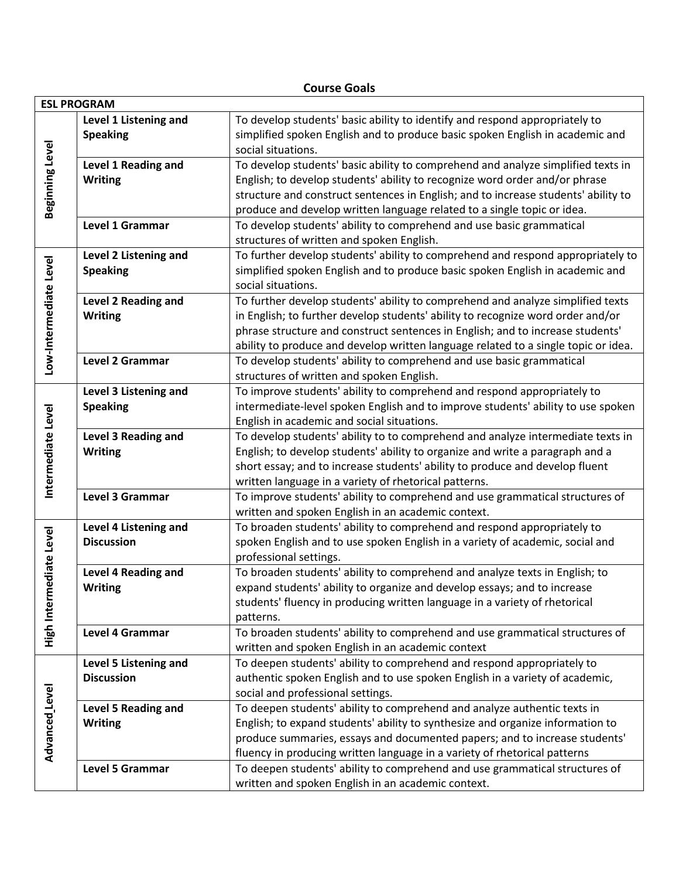## **Course Goals**

| <b>ESL PROGRAM</b>          |                            |                                                                                    |  |
|-----------------------------|----------------------------|------------------------------------------------------------------------------------|--|
|                             | Level 1 Listening and      | To develop students' basic ability to identify and respond appropriately to        |  |
| Beginning Level             | <b>Speaking</b>            | simplified spoken English and to produce basic spoken English in academic and      |  |
|                             |                            | social situations.                                                                 |  |
|                             | Level 1 Reading and        | To develop students' basic ability to comprehend and analyze simplified texts in   |  |
|                             | <b>Writing</b>             | English; to develop students' ability to recognize word order and/or phrase        |  |
|                             |                            | structure and construct sentences in English; and to increase students' ability to |  |
|                             |                            | produce and develop written language related to a single topic or idea.            |  |
|                             | Level 1 Grammar            | To develop students' ability to comprehend and use basic grammatical               |  |
|                             |                            | structures of written and spoken English.                                          |  |
| Low-Intermediate Level      | Level 2 Listening and      | To further develop students' ability to comprehend and respond appropriately to    |  |
|                             | <b>Speaking</b>            | simplified spoken English and to produce basic spoken English in academic and      |  |
|                             |                            | social situations.                                                                 |  |
|                             | <b>Level 2 Reading and</b> | To further develop students' ability to comprehend and analyze simplified texts    |  |
|                             | <b>Writing</b>             | in English; to further develop students' ability to recognize word order and/or    |  |
|                             |                            | phrase structure and construct sentences in English; and to increase students'     |  |
|                             |                            | ability to produce and develop written language related to a single topic or idea. |  |
|                             | <b>Level 2 Grammar</b>     | To develop students' ability to comprehend and use basic grammatical               |  |
|                             |                            | structures of written and spoken English.                                          |  |
|                             | Level 3 Listening and      | To improve students' ability to comprehend and respond appropriately to            |  |
| Intermediate Level          | <b>Speaking</b>            | intermediate-level spoken English and to improve students' ability to use spoken   |  |
|                             |                            | English in academic and social situations.                                         |  |
|                             | Level 3 Reading and        | To develop students' ability to to comprehend and analyze intermediate texts in    |  |
|                             | <b>Writing</b>             | English; to develop students' ability to organize and write a paragraph and a      |  |
|                             |                            | short essay; and to increase students' ability to produce and develop fluent       |  |
|                             |                            | written language in a variety of rhetorical patterns.                              |  |
|                             | Level 3 Grammar            | To improve students' ability to comprehend and use grammatical structures of       |  |
|                             |                            | written and spoken English in an academic context.                                 |  |
| ediate Level<br>High Interm | Level 4 Listening and      | To broaden students' ability to comprehend and respond appropriately to            |  |
|                             | <b>Discussion</b>          | spoken English and to use spoken English in a variety of academic, social and      |  |
|                             |                            | professional settings.                                                             |  |
|                             | Level 4 Reading and        | To broaden students' ability to comprehend and analyze texts in English; to        |  |
|                             | <b>Writing</b>             | expand students' ability to organize and develop essays; and to increase           |  |
|                             |                            | students' fluency in producing written language in a variety of rhetorical         |  |
|                             |                            | patterns.                                                                          |  |
|                             | Level 4 Grammar            | To broaden students' ability to comprehend and use grammatical structures of       |  |
|                             |                            | written and spoken English in an academic context                                  |  |
| Advanced Level              | Level 5 Listening and      | To deepen students' ability to comprehend and respond appropriately to             |  |
|                             | <b>Discussion</b>          | authentic spoken English and to use spoken English in a variety of academic,       |  |
|                             |                            | social and professional settings.                                                  |  |
|                             | Level 5 Reading and        | To deepen students' ability to comprehend and analyze authentic texts in           |  |
|                             | <b>Writing</b>             | English; to expand students' ability to synthesize and organize information to     |  |
|                             |                            | produce summaries, essays and documented papers; and to increase students'         |  |
|                             |                            | fluency in producing written language in a variety of rhetorical patterns          |  |
|                             | <b>Level 5 Grammar</b>     | To deepen students' ability to comprehend and use grammatical structures of        |  |
|                             |                            | written and spoken English in an academic context.                                 |  |